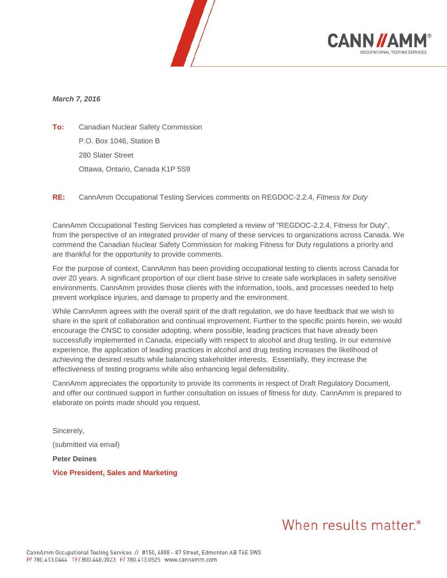



## *March 7, 2016*

**To:** Canadian Nuclear Safety Commission P.O. Box 1046, Station B 280 Slater Street Ottawa, Ontario, Canada K1P 5S9

**RE:** CannAmm Occupational Testing Services comments on REGDOC-2.2.4, *Fitness for Duty*

CannAmm Occupational Testing Services has completed a review of "REGDOC-2.2.4, Fitness for Duty", from the perspective of an integrated provider of many of these services to organizations across Canada. We commend the Canadian Nuclear Safety Commission for making Fitness for Duty regulations a priority and are thankful for the opportunity to provide comments.

For the purpose of context, CannAmm has been providing occupational testing to clients across Canada for over 20 years. A significant proportion of our client base strive to create safe workplaces in safety sensitive environments. CannAmm provides those clients with the information, tools, and processes needed to help prevent workplace injuries, and damage to property and the environment.

While CannAmm agrees with the overall spirit of the draft regulation, we do have feedback that we wish to share in the spirit of collaboration and continual improvement. Further to the specific points herein, we would encourage the CNSC to consider adopting, where possible, leading practices that have already been successfully implemented in Canada, especially with respect to alcohol and drug testing. In our extensive experience, the application of leading practices in alcohol and drug testing increases the likelihood of achieving the desired results while balancing stakeholder interests. Essentially, they increase the effectiveness of testing programs while also enhancing legal defensibility.

CannAmm appreciates the opportunity to provide its comments in respect of Draft Regulatory Document, and offer our continued support in further consultation on issues of fitness for duty. CannAmm is prepared to elaborate on points made should you request.

Sincerely, (submitted via email) **Peter Deines Vice President, Sales and Marketing**

## When results matter.<sup>®</sup>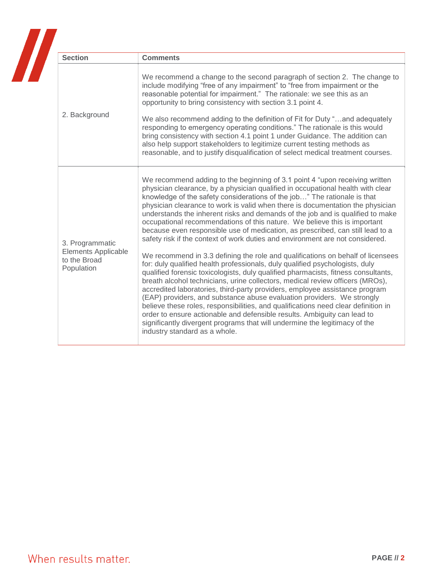| <b>Section</b>                                                       | <b>Comments</b>                                                                                                                                                                                                                                                                                                                                                                                                                                                                                                                                                                                                                                                                                                                                                                                                                                                                                                                                                                                                                                                                                                                                                                                                                                                                                                                                                                                                                                    |
|----------------------------------------------------------------------|----------------------------------------------------------------------------------------------------------------------------------------------------------------------------------------------------------------------------------------------------------------------------------------------------------------------------------------------------------------------------------------------------------------------------------------------------------------------------------------------------------------------------------------------------------------------------------------------------------------------------------------------------------------------------------------------------------------------------------------------------------------------------------------------------------------------------------------------------------------------------------------------------------------------------------------------------------------------------------------------------------------------------------------------------------------------------------------------------------------------------------------------------------------------------------------------------------------------------------------------------------------------------------------------------------------------------------------------------------------------------------------------------------------------------------------------------|
| 2. Background                                                        | We recommend a change to the second paragraph of section 2. The change to<br>include modifying "free of any impairment" to "free from impairment or the<br>reasonable potential for impairment." The rationale: we see this as an<br>opportunity to bring consistency with section 3.1 point 4.<br>We also recommend adding to the definition of Fit for Duty "and adequately<br>responding to emergency operating conditions." The rationale is this would<br>bring consistency with section 4.1 point 1 under Guidance. The addition can<br>also help support stakeholders to legitimize current testing methods as<br>reasonable, and to justify disqualification of select medical treatment courses.                                                                                                                                                                                                                                                                                                                                                                                                                                                                                                                                                                                                                                                                                                                                          |
| 3. Programmatic<br>Elements Applicable<br>to the Broad<br>Population | We recommend adding to the beginning of 3.1 point 4 "upon receiving written<br>physician clearance, by a physician qualified in occupational health with clear<br>knowledge of the safety considerations of the job" The rationale is that<br>physician clearance to work is valid when there is documentation the physician<br>understands the inherent risks and demands of the job and is qualified to make<br>occupational recommendations of this nature. We believe this is important<br>because even responsible use of medication, as prescribed, can still lead to a<br>safety risk if the context of work duties and environment are not considered.<br>We recommend in 3.3 defining the role and qualifications on behalf of licensees<br>for: duly qualified health professionals, duly qualified psychologists, duly<br>qualified forensic toxicologists, duly qualified pharmacists, fitness consultants,<br>breath alcohol technicians, urine collectors, medical review officers (MROs),<br>accredited laboratories, third-party providers, employee assistance program<br>(EAP) providers, and substance abuse evaluation providers. We strongly<br>believe these roles, responsibilities, and qualifications need clear definition in<br>order to ensure actionable and defensible results. Ambiguity can lead to<br>significantly divergent programs that will undermine the legitimacy of the<br>industry standard as a whole. |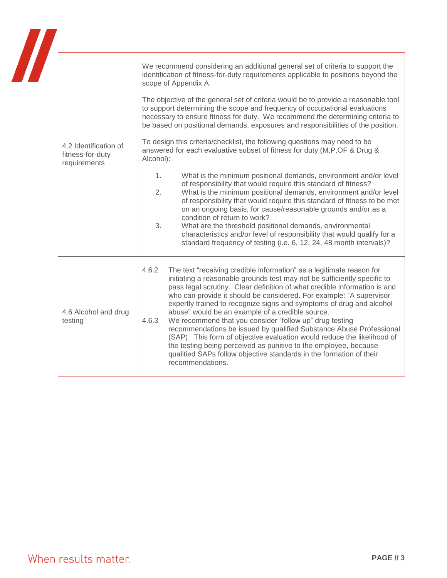| 4.2 Identification of<br>fitness-for-duty<br>requirements | We recommend considering an additional general set of criteria to support the<br>identification of fitness-for-duty requirements applicable to positions beyond the<br>scope of Appendix A.<br>The objective of the general set of criteria would be to provide a reasonable tool<br>to support determining the scope and frequency of occupational evaluations<br>necessary to ensure fitness for duty. We recommend the determining criteria to<br>be based on positional demands, exposures and responsibilities of the position.<br>To design this criteria/checklist, the following questions may need to be<br>answered for each evaluative subset of fitness for duty (M,P,OF & Drug &<br>Alcohol):<br>1.<br>What is the minimum positional demands, environment and/or level<br>of responsibility that would require this standard of fitness?<br>2.<br>What is the minimum positional demands, environment and/or level<br>of responsibility that would require this standard of fitness to be met<br>on an ongoing basis, for cause/reasonable grounds and/or as a<br>condition of return to work?<br>3.<br>What are the threshold positional demands, environmental<br>characteristics and/or level of responsibility that would qualify for a<br>standard frequency of testing (i.e. 6, 12, 24, 48 month intervals)? |
|-----------------------------------------------------------|----------------------------------------------------------------------------------------------------------------------------------------------------------------------------------------------------------------------------------------------------------------------------------------------------------------------------------------------------------------------------------------------------------------------------------------------------------------------------------------------------------------------------------------------------------------------------------------------------------------------------------------------------------------------------------------------------------------------------------------------------------------------------------------------------------------------------------------------------------------------------------------------------------------------------------------------------------------------------------------------------------------------------------------------------------------------------------------------------------------------------------------------------------------------------------------------------------------------------------------------------------------------------------------------------------------------------------|
| 4.6 Alcohol and drug<br>testing                           | 4.6.2<br>The text "receiving credible information" as a legitimate reason for<br>initiating a reasonable grounds test may not be sufficiently specific to<br>pass legal scrutiny. Clear definition of what credible information is and<br>who can provide it should be considered. For example: "A supervisor<br>expertly trained to recognize signs and symptoms of drug and alcohol<br>abuse" would be an example of a credible source.<br>We recommend that you consider "follow up" drug testing<br>4.6.3<br>recommendations be issued by qualified Substance Abuse Professional<br>(SAP). This form of objective evaluation would reduce the likelihood of<br>the testing being perceived as punitive to the employee, because<br>qualitied SAPs follow objective standards in the formation of their<br>recommendations.                                                                                                                                                                                                                                                                                                                                                                                                                                                                                                   |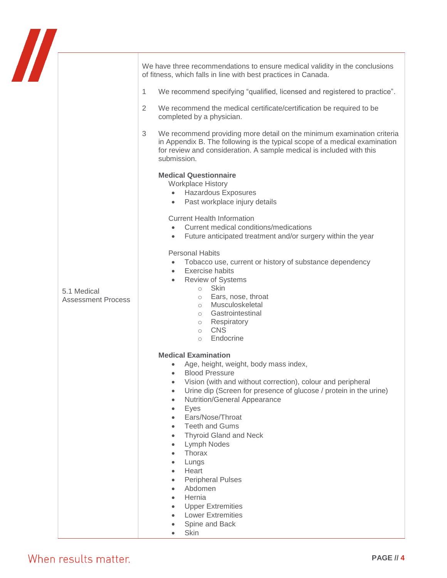|                                          | We have three recommendations to ensure medical validity in the conclusions<br>of fitness, which falls in line with best practices in Canada.<br>We recommend specifying "qualified, licensed and registered to practice".<br>$\mathbf{1}$<br>$\overline{2}$<br>We recommend the medical certificate/certification be required to be<br>completed by a physician.<br>3<br>We recommend providing more detail on the minimum examination criteria<br>in Appendix B. The following is the typical scope of a medical examination<br>for review and consideration. A sample medical is included with this<br>submission.<br><b>Medical Questionnaire</b><br>Workplace History<br><b>Hazardous Exposures</b><br>$\bullet$<br>Past workplace injury details<br>$\bullet$<br><b>Current Health Information</b><br>Current medical conditions/medications<br>Future anticipated treatment and/or surgery within the year<br>$\bullet$ |
|------------------------------------------|--------------------------------------------------------------------------------------------------------------------------------------------------------------------------------------------------------------------------------------------------------------------------------------------------------------------------------------------------------------------------------------------------------------------------------------------------------------------------------------------------------------------------------------------------------------------------------------------------------------------------------------------------------------------------------------------------------------------------------------------------------------------------------------------------------------------------------------------------------------------------------------------------------------------------------|
| 5.1 Medical<br><b>Assessment Process</b> | <b>Personal Habits</b><br>Tobacco use, current or history of substance dependency<br><b>Exercise habits</b><br>$\bullet$<br>Review of Systems<br><b>Skin</b><br>$\circ$<br>o Ears, nose, throat<br>o Musculoskeletal<br>o Gastrointestinal<br>o Respiratory<br><b>CNS</b><br>$\circ$<br>Endocrine<br>$\circ$                                                                                                                                                                                                                                                                                                                                                                                                                                                                                                                                                                                                                   |
|                                          | <b>Medical Examination</b><br>Age, height, weight, body mass index,<br><b>Blood Pressure</b><br>Vision (with and without correction), colour and peripheral<br>$\bullet$<br>Urine dip (Screen for presence of glucose / protein in the urine)<br>$\bullet$<br>Nutrition/General Appearance<br>$\bullet$<br>Eyes<br>$\bullet$<br>Ears/Nose/Throat<br><b>Teeth and Gums</b><br>$\bullet$<br><b>Thyroid Gland and Neck</b><br>$\bullet$<br>Lymph Nodes<br>$\bullet$<br>Thorax<br>Lungs<br>Heart<br><b>Peripheral Pulses</b><br>Abdomen<br>Hernia<br><b>Upper Extremities</b><br><b>Lower Extremities</b><br>Spine and Back<br>Skin                                                                                                                                                                                                                                                                                                |

## When results matter.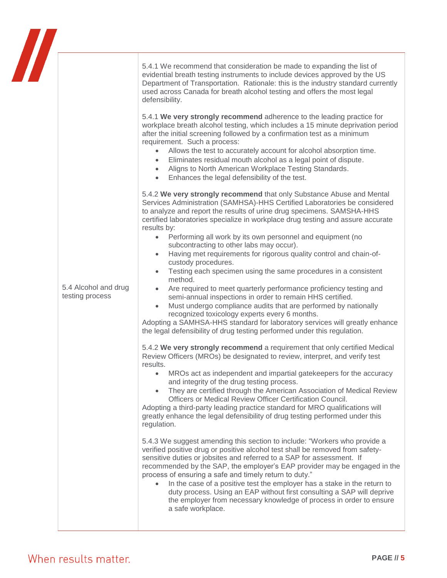| $\boldsymbol{\mathcal{H}}$<br>5.4 Alcohol and drug<br>testing process | 5.4.1 We recommend that consideration be made to expanding the list of<br>evidential breath testing instruments to include devices approved by the US<br>Department of Transportation. Rationale: this is the industry standard currently<br>used across Canada for breath alcohol testing and offers the most legal<br>defensibility.<br>5.4.1 We very strongly recommend adherence to the leading practice for<br>workplace breath alcohol testing, which includes a 15 minute deprivation period<br>after the initial screening followed by a confirmation test as a minimum<br>requirement. Such a process:<br>Allows the test to accurately account for alcohol absorption time.<br>Eliminates residual mouth alcohol as a legal point of dispute.<br>Aligns to North American Workplace Testing Standards.<br>$\bullet$<br>Enhances the legal defensibility of the test.<br>$\bullet$<br>5.4.2 We very strongly recommend that only Substance Abuse and Mental<br>Services Administration (SAMHSA)-HHS Certified Laboratories be considered<br>to analyze and report the results of urine drug specimens. SAMSHA-HHS<br>certified laboratories specialize in workplace drug testing and assure accurate<br>results by:<br>Performing all work by its own personnel and equipment (no<br>$\bullet$<br>subcontracting to other labs may occur).<br>Having met requirements for rigorous quality control and chain-of-<br>custody procedures.<br>Testing each specimen using the same procedures in a consistent<br>method.<br>Are required to meet quarterly performance proficiency testing and<br>semi-annual inspections in order to remain HHS certified.<br>Must undergo compliance audits that are performed by nationally<br>recognized toxicology experts every 6 months.<br>Adopting a SAMHSA-HHS standard for laboratory services will greatly enhance<br>the legal defensibility of drug testing performed under this regulation.<br>5.4.2 We very strongly recommend a requirement that only certified Medical<br>Review Officers (MROs) be designated to review, interpret, and verify test<br>results.<br>MROs act as independent and impartial gatekeepers for the accuracy<br>$\bullet$<br>and integrity of the drug testing process.<br>They are certified through the American Association of Medical Review<br>Officers or Medical Review Officer Certification Council.<br>Adopting a third-party leading practice standard for MRO qualifications will<br>greatly enhance the legal defensibility of drug testing performed under this<br>regulation.<br>5.4.3 We suggest amending this section to include: "Workers who provide a<br>verified positive drug or positive alcohol test shall be removed from safety-<br>sensitive duties or jobsites and referred to a SAP for assessment. If<br>recommended by the SAP, the employer's EAP provider may be engaged in the<br>process of ensuring a safe and timely return to duty."<br>In the case of a positive test the employer has a stake in the return to<br>$\bullet$<br>duty process. Using an EAP without first consulting a SAP will deprive<br>the employer from necessary knowledge of process in order to ensure<br>a safe workplace. |
|-----------------------------------------------------------------------|-----------------------------------------------------------------------------------------------------------------------------------------------------------------------------------------------------------------------------------------------------------------------------------------------------------------------------------------------------------------------------------------------------------------------------------------------------------------------------------------------------------------------------------------------------------------------------------------------------------------------------------------------------------------------------------------------------------------------------------------------------------------------------------------------------------------------------------------------------------------------------------------------------------------------------------------------------------------------------------------------------------------------------------------------------------------------------------------------------------------------------------------------------------------------------------------------------------------------------------------------------------------------------------------------------------------------------------------------------------------------------------------------------------------------------------------------------------------------------------------------------------------------------------------------------------------------------------------------------------------------------------------------------------------------------------------------------------------------------------------------------------------------------------------------------------------------------------------------------------------------------------------------------------------------------------------------------------------------------------------------------------------------------------------------------------------------------------------------------------------------------------------------------------------------------------------------------------------------------------------------------------------------------------------------------------------------------------------------------------------------------------------------------------------------------------------------------------------------------------------------------------------------------------------------------------------------------------------------------------------------------------------------------------------------------------------------------------------------------------------------------------------------------------------------------------------------------------------------------------------------------------------------------------------------------------------------------------------------------------------------------------------------------------------------------------------------------------------------------------------------------------------------------------------------------------------------------------------------------|
|-----------------------------------------------------------------------|-----------------------------------------------------------------------------------------------------------------------------------------------------------------------------------------------------------------------------------------------------------------------------------------------------------------------------------------------------------------------------------------------------------------------------------------------------------------------------------------------------------------------------------------------------------------------------------------------------------------------------------------------------------------------------------------------------------------------------------------------------------------------------------------------------------------------------------------------------------------------------------------------------------------------------------------------------------------------------------------------------------------------------------------------------------------------------------------------------------------------------------------------------------------------------------------------------------------------------------------------------------------------------------------------------------------------------------------------------------------------------------------------------------------------------------------------------------------------------------------------------------------------------------------------------------------------------------------------------------------------------------------------------------------------------------------------------------------------------------------------------------------------------------------------------------------------------------------------------------------------------------------------------------------------------------------------------------------------------------------------------------------------------------------------------------------------------------------------------------------------------------------------------------------------------------------------------------------------------------------------------------------------------------------------------------------------------------------------------------------------------------------------------------------------------------------------------------------------------------------------------------------------------------------------------------------------------------------------------------------------------------------------------------------------------------------------------------------------------------------------------------------------------------------------------------------------------------------------------------------------------------------------------------------------------------------------------------------------------------------------------------------------------------------------------------------------------------------------------------------------------------------------------------------------------------------------------------------------------|